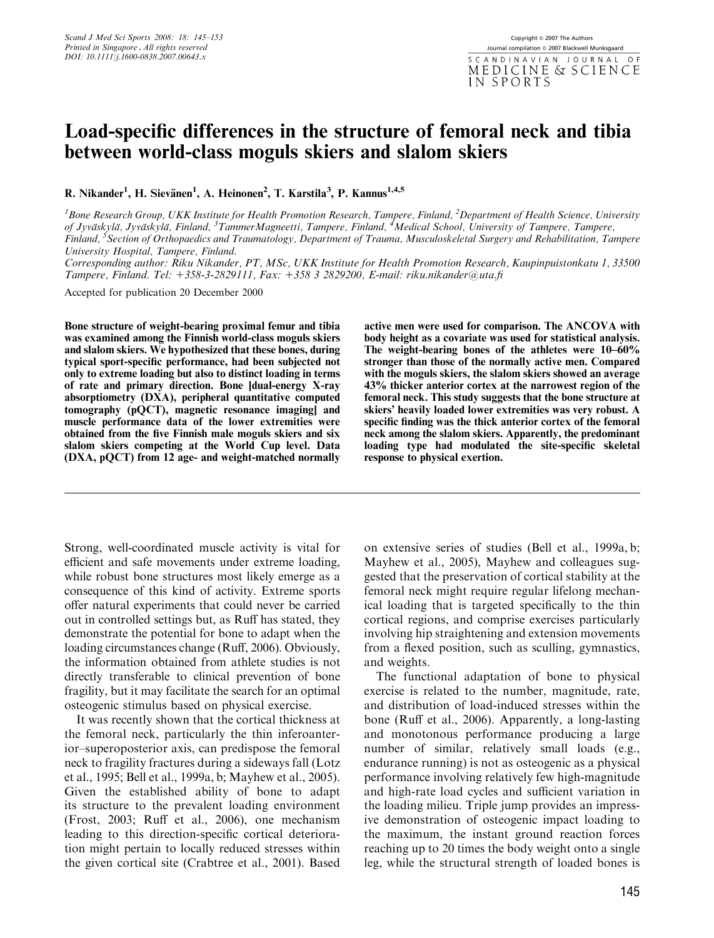Fried in Singapore . All rights reserved Journal compilation & 2007 Blackwell Munksgaard<br>SCANDINAVIAN JOURNAL OF MEDICINE & SCIENCE IN SPORTS

# Load-specific differences in the structure of femoral neck and tibia between world-class moguls skiers and slalom skiers

R. Nikander<sup>1</sup>, H. Sievänen<sup>1</sup>, A. Heinonen<sup>2</sup>, T. Karstila<sup>3</sup>, P. Kannus<sup>1,4,5</sup>

 $^1$ Bone Research Group, UKK Institute for Health Promotion Research, Tampere, Finland,  $^2$ Department of Health Science, University of Jyväskylä, Jyväskylä, Finland, <sup>3</sup>TammerMagneetti, Tampere, Finland, <sup>4</sup>Medical School, University of Tampere, Tampere, Finland, <sup>5</sup> Section of Orthopaedics and Traumatology, Department of Trauma, Musculoskeletal Surgery and Rehabilitation, Tampere University Hospital, Tampere, Finland.

Corresponding author: Riku Nikander, PT, MSc, UKK Institute for Health Promotion Research, Kaupinpuistonkatu 1, 33500 Tampere, Finland. Tel:  $+358-3-2829111$ , Fax:  $+358$  3 2829200, E-mail: riku.nikander@uta.fi

Accepted for publication 20 December 2000

Bone structure of weight-bearing proximal femur and tibia was examined among the Finnish world-class moguls skiers and slalom skiers. We hypothesized that these bones, during typical sport-specific performance, had been subjected not only to extreme loading but also to distinct loading in terms of rate and primary direction. Bone [dual-energy X-ray absorptiometry (DXA), peripheral quantitative computed tomography (pQCT), magnetic resonance imaging] and muscle performance data of the lower extremities were obtained from the five Finnish male moguls skiers and six slalom skiers competing at the World Cup level. Data (DXA, pQCT) from 12 age- and weight-matched normally

Strong, well-coordinated muscle activity is vital for efficient and safe movements under extreme loading, while robust bone structures most likely emerge as a consequence of this kind of activity. Extreme sports offer natural experiments that could never be carried out in controlled settings but, as Ruff has stated, they demonstrate the potential for bone to adapt when the loading circumstances change (Ruff, 2006). Obviously, the information obtained from athlete studies is not directly transferable to clinical prevention of bone fragility, but it may facilitate the search for an optimal osteogenic stimulus based on physical exercise.

It was recently shown that the cortical thickness at the femoral neck, particularly the thin inferoanterior–superoposterior axis, can predispose the femoral neck to fragility fractures during a sideways fall (Lotz et al., 1995; Bell et al., 1999a, b; Mayhew et al., 2005). Given the established ability of bone to adapt its structure to the prevalent loading environment (Frost, 2003; Ruff et al., 2006), one mechanism leading to this direction-specific cortical deterioration might pertain to locally reduced stresses within the given cortical site (Crabtree et al., 2001). Based

active men were used for comparison. The ANCOVA with body height as a covariate was used for statistical analysis. The weight-bearing bones of the athletes were 10–60% stronger than those of the normally active men. Compared with the moguls skiers, the slalom skiers showed an average 43% thicker anterior cortex at the narrowest region of the femoral neck. This study suggests that the bone structure at skiers' heavily loaded lower extremities was very robust. A specific finding was the thick anterior cortex of the femoral neck among the slalom skiers. Apparently, the predominant loading type had modulated the site-specific skeletal response to physical exertion.

on extensive series of studies (Bell et al., 1999a, b; Mayhew et al., 2005), Mayhew and colleagues suggested that the preservation of cortical stability at the femoral neck might require regular lifelong mechanical loading that is targeted specifically to the thin cortical regions, and comprise exercises particularly involving hip straightening and extension movements from a flexed position, such as sculling, gymnastics, and weights.

The functional adaptation of bone to physical exercise is related to the number, magnitude, rate, and distribution of load-induced stresses within the bone (Ruff et al., 2006). Apparently, a long-lasting and monotonous performance producing a large number of similar, relatively small loads (e.g., endurance running) is not as osteogenic as a physical performance involving relatively few high-magnitude and high-rate load cycles and sufficient variation in the loading milieu. Triple jump provides an impressive demonstration of osteogenic impact loading to the maximum, the instant ground reaction forces reaching up to 20 times the body weight onto a single leg, while the structural strength of loaded bones is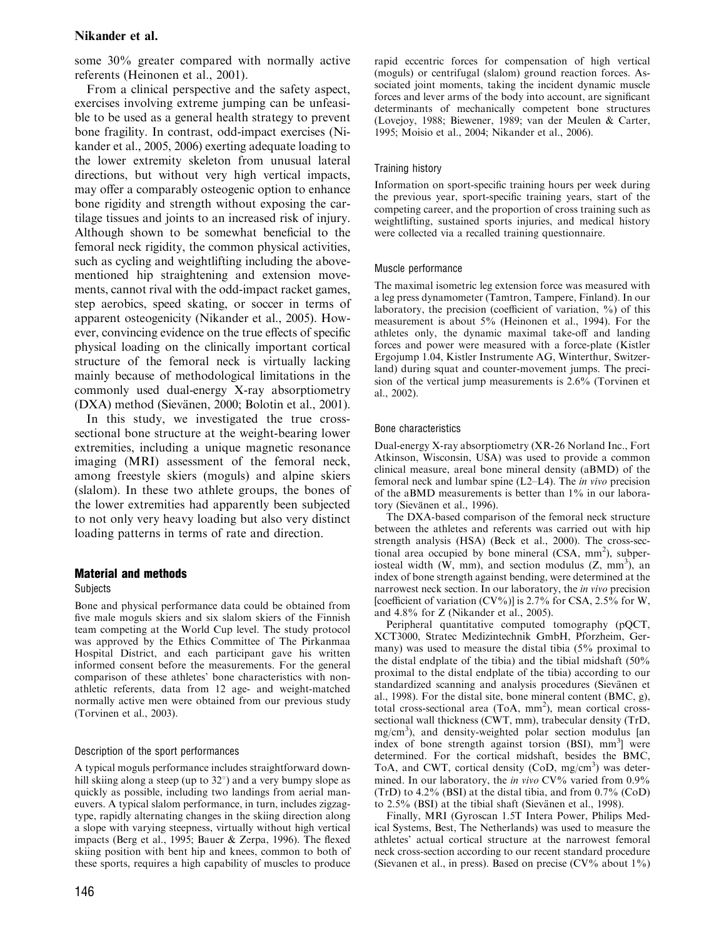# Nikander et al.

some 30% greater compared with normally active referents (Heinonen et al., 2001).

From a clinical perspective and the safety aspect, exercises involving extreme jumping can be unfeasible to be used as a general health strategy to prevent bone fragility. In contrast, odd-impact exercises (Nikander et al., 2005, 2006) exerting adequate loading to the lower extremity skeleton from unusual lateral directions, but without very high vertical impacts, may offer a comparably osteogenic option to enhance bone rigidity and strength without exposing the cartilage tissues and joints to an increased risk of injury. Although shown to be somewhat beneficial to the femoral neck rigidity, the common physical activities, such as cycling and weightlifting including the abovementioned hip straightening and extension movements, cannot rival with the odd-impact racket games, step aerobics, speed skating, or soccer in terms of apparent osteogenicity (Nikander et al., 2005). However, convincing evidence on the true effects of specific physical loading on the clinically important cortical structure of the femoral neck is virtually lacking mainly because of methodological limitations in the commonly used dual-energy X-ray absorptiometry (DXA) method (Sievänen, 2000; Bolotin et al., 2001).

In this study, we investigated the true crosssectional bone structure at the weight-bearing lower extremities, including a unique magnetic resonance imaging (MRI) assessment of the femoral neck, among freestyle skiers (moguls) and alpine skiers (slalom). In these two athlete groups, the bones of the lower extremities had apparently been subjected to not only very heavy loading but also very distinct loading patterns in terms of rate and direction.

# Material and methods

## **Subjects**

Bone and physical performance data could be obtained from five male moguls skiers and six slalom skiers of the Finnish team competing at the World Cup level. The study protocol was approved by the Ethics Committee of The Pirkanmaa Hospital District, and each participant gave his written informed consent before the measurements. For the general comparison of these athletes' bone characteristics with nonathletic referents, data from 12 age- and weight-matched normally active men were obtained from our previous study (Torvinen et al., 2003).

## Description of the sport performances

A typical moguls performance includes straightforward downhill skiing along a steep (up to 32<sup>°</sup>) and a very bumpy slope as quickly as possible, including two landings from aerial maneuvers. A typical slalom performance, in turn, includes zigzagtype, rapidly alternating changes in the skiing direction along a slope with varying steepness, virtually without high vertical impacts (Berg et al., 1995; Bauer & Zerpa, 1996). The flexed skiing position with bent hip and knees, common to both of these sports, requires a high capability of muscles to produce

rapid eccentric forces for compensation of high vertical (moguls) or centrifugal (slalom) ground reaction forces. Associated joint moments, taking the incident dynamic muscle forces and lever arms of the body into account, are significant determinants of mechanically competent bone structures (Lovejoy, 1988; Biewener, 1989; van der Meulen & Carter, 1995; Moisio et al., 2004; Nikander et al., 2006).

### Training history

Information on sport-specific training hours per week during the previous year, sport-specific training years, start of the competing career, and the proportion of cross training such as weightlifting, sustained sports injuries, and medical history were collected via a recalled training questionnaire.

### Muscle performance

The maximal isometric leg extension force was measured with a leg press dynamometer (Tamtron, Tampere, Finland). In our laboratory, the precision (coefficient of variation,  $\%$ ) of this measurement is about 5% (Heinonen et al., 1994). For the athletes only, the dynamic maximal take-off and landing forces and power were measured with a force-plate (Kistler Ergojump 1.04, Kistler Instrumente AG, Winterthur, Switzerland) during squat and counter-movement jumps. The precision of the vertical jump measurements is 2.6% (Torvinen et al., 2002).

#### Bone characteristics

Dual-energy X-ray absorptiometry (XR-26 Norland Inc., Fort Atkinson, Wisconsin, USA) was used to provide a common clinical measure, areal bone mineral density (aBMD) of the femoral neck and lumbar spine (L2–L4). The in vivo precision of the aBMD measurements is better than 1% in our laboratory (Sievänen et al., 1996).

The DXA-based comparison of the femoral neck structure between the athletes and referents was carried out with hip strength analysis (HSA) (Beck et al., 2000). The cross-sectional area occupied by bone mineral (CSA, mm<sup>2</sup>), subperiosteal width  $(W, mm)$ , and section modulus  $(Z, mm^3)$ , an index of bone strength against bending, were determined at the narrowest neck section. In our laboratory, the in vivo precision [coefficient of variation (CV%)] is 2.7% for CSA, 2.5% for W, and 4.8% for Z (Nikander et al., 2005).

Peripheral quantitative computed tomography (pQCT, XCT3000, Stratec Medizintechnik GmbH, Pforzheim, Germany) was used to measure the distal tibia (5% proximal to the distal endplate of the tibia) and the tibial midshaft (50% proximal to the distal endplate of the tibia) according to our standardized scanning and analysis procedures (Sievänen et al., 1998). For the distal site, bone mineral content (BMC, g), total cross-sectional area (ToA, mm<sup>2</sup>), mean cortical crosssectional wall thickness (CWT, mm), trabecular density (TrD, mg/cm<sup>3</sup> ), and density-weighted polar section modulus [an index of bone strength against torsion (BSI), mm<sup>3</sup>] were determined. For the cortical midshaft, besides the BMC, ToA, and CWT, cortical density (CoD, mg/cm<sup>3</sup>) was determined. In our laboratory, the *in vivo* CV% varied from 0.9% (TrD) to 4.2% (BSI) at the distal tibia, and from 0.7% (CoD) to 2.5% (BSI) at the tibial shaft (Sievanen et al., 1998).

Finally, MRI (Gyroscan 1.5T Intera Power, Philips Medical Systems, Best, The Netherlands) was used to measure the athletes' actual cortical structure at the narrowest femoral neck cross-section according to our recent standard procedure (Sievanen et al., in press). Based on precise (CV% about 1%)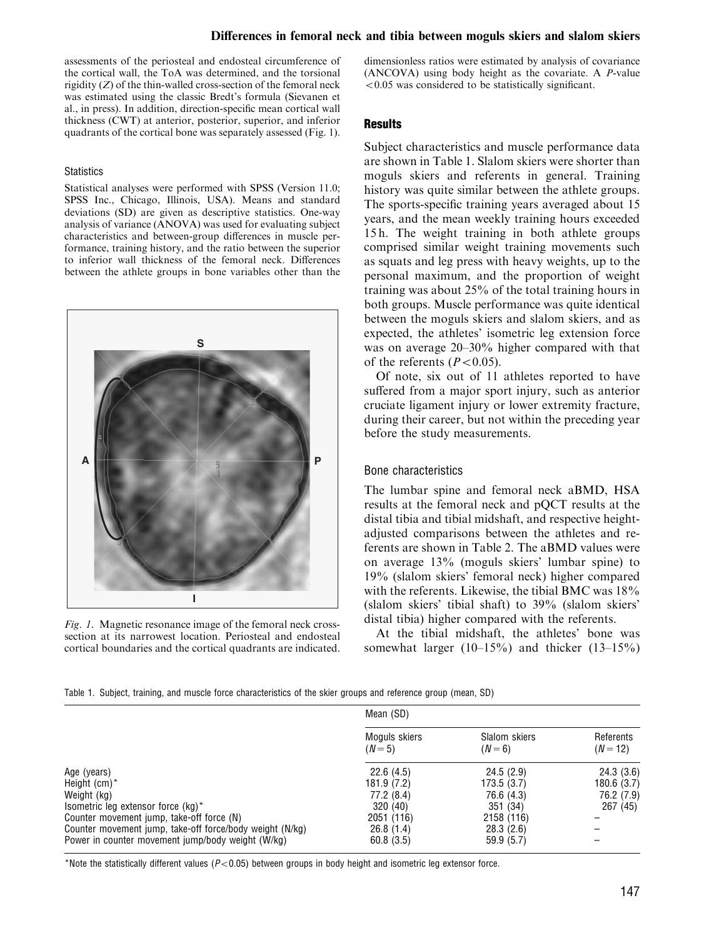assessments of the periosteal and endosteal circumference of the cortical wall, the ToA was determined, and the torsional rigidity  $(Z)$  of the thin-walled cross-section of the femoral neck was estimated using the classic Bredt's formula (Sievanen et al., in press). In addition, direction-specific mean cortical wall thickness (CWT) at anterior, posterior, superior, and inferior quadrants of the cortical bone was separately assessed (Fig. 1).

#### **Statistics**

Statistical analyses were performed with SPSS (Version 11.0; SPSS Inc., Chicago, Illinois, USA). Means and standard deviations (SD) are given as descriptive statistics. One-way analysis of variance (ANOVA) was used for evaluating subject characteristics and between-group differences in muscle performance, training history, and the ratio between the superior to inferior wall thickness of the femoral neck. Differences between the athlete groups in bone variables other than the



Fig. 1. Magnetic resonance image of the femoral neck crosssection at its narrowest location. Periosteal and endosteal cortical boundaries and the cortical quadrants are indicated.

dimensionless ratios were estimated by analysis of covariance (ANCOVA) using body height as the covariate. A P-value  $< 0.05$  was considered to be statistically significant.

#### **Results**

Subject characteristics and muscle performance data are shown in Table 1. Slalom skiers were shorter than moguls skiers and referents in general. Training history was quite similar between the athlete groups. The sports-specific training years averaged about 15 years, and the mean weekly training hours exceeded 15 h. The weight training in both athlete groups comprised similar weight training movements such as squats and leg press with heavy weights, up to the personal maximum, and the proportion of weight training was about 25% of the total training hours in both groups. Muscle performance was quite identical between the moguls skiers and slalom skiers, and as expected, the athletes' isometric leg extension force was on average 20–30% higher compared with that of the referents  $(P<0.05)$ .

Of note, six out of 11 athletes reported to have suffered from a major sport injury, such as anterior cruciate ligament injury or lower extremity fracture, during their career, but not within the preceding year before the study measurements.

## Bone characteristics

The lumbar spine and femoral neck aBMD, HSA results at the femoral neck and pQCT results at the distal tibia and tibial midshaft, and respective heightadjusted comparisons between the athletes and referents are shown in Table 2. The aBMD values were on average 13% (moguls skiers' lumbar spine) to 19% (slalom skiers' femoral neck) higher compared with the referents. Likewise, the tibial BMC was  $18\%$ (slalom skiers' tibial shaft) to 39% (slalom skiers' distal tibia) higher compared with the referents.

At the tibial midshaft, the athletes' bone was somewhat larger (10–15%) and thicker (13–15%)

Table 1. Subject, training, and muscle force characteristics of the skier groups and reference group (mean, SD)

|                                                          | Mean (SD)                  |                            |                         |
|----------------------------------------------------------|----------------------------|----------------------------|-------------------------|
|                                                          | Moguls skiers<br>$(N = 5)$ | Slalom skiers<br>$(N = 6)$ | Referents<br>$(N = 12)$ |
| Age (years)                                              | 22.6(4.5)                  | 24.5(2.9)                  | 24.3(3.6)               |
| Height $(cm)^*$                                          | 181.9 (7.2)                | 173.5(3.7)                 | 180.6(3.7)              |
| Weight (kg)                                              | 77.2 (8.4)                 | 76.6 (4.3)                 | 76.2 (7.9)              |
| Isometric leg extensor force (kg)*                       | 320(40)                    | 351 (34)                   | 267 (45)                |
| Counter movement jump, take-off force (N)                | 2051 (116)                 | 2158 (116)                 |                         |
| Counter movement jump, take-off force/body weight (N/kg) | 26.8(1.4)                  | 28.3(2.6)                  |                         |
| Power in counter movement jump/body weight (W/kg)        | 60.8(3.5)                  | 59.9(5.7)                  |                         |

\*Note the statistically different values ( $P<0.05$ ) between groups in body height and isometric leg extensor force.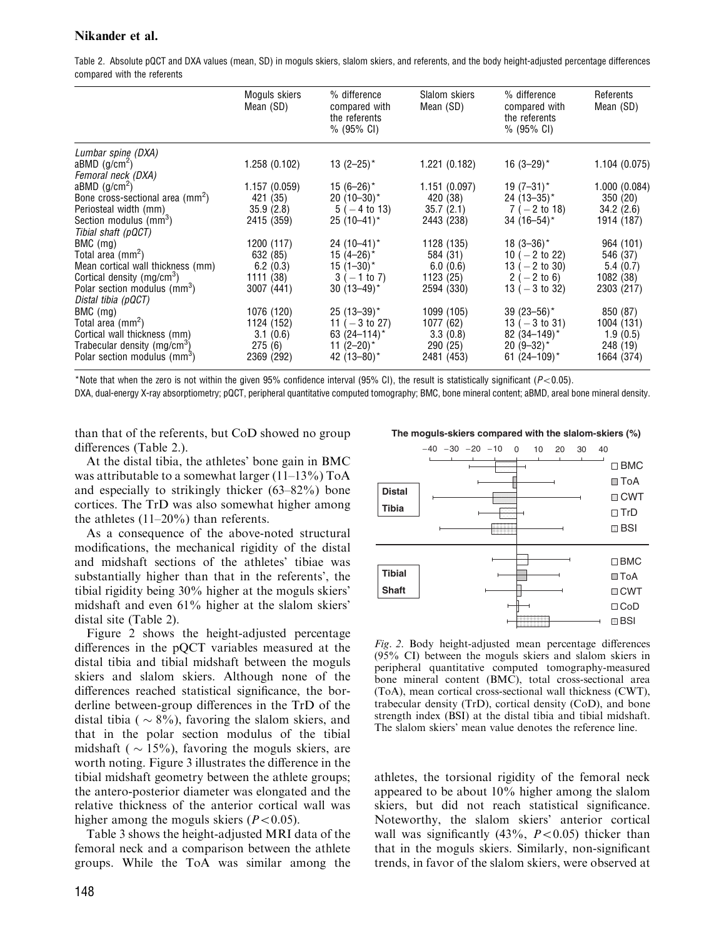# Nikander et al.

Table 2. Absolute pQCT and DXA values (mean, SD) in moguls skiers, slalom skiers, and referents, and the body height-adjusted percentage differences compared with the referents

|                                                    | Moguls skiers<br>Mean (SD) | % difference<br>compared with<br>the referents<br>$% (95\% \text{ Cl})$ | Slalom skiers<br>Mean (SD) | % difference<br>compared with<br>the referents<br>% (95% CI) | Referents<br>Mean (SD) |
|----------------------------------------------------|----------------------------|-------------------------------------------------------------------------|----------------------------|--------------------------------------------------------------|------------------------|
| Lumbar spine (DXA)                                 |                            |                                                                         |                            |                                                              |                        |
| $a$ BMD (g/cm <sup>2</sup> )<br>Femoral neck (DXA) | 1.258(0.102)               | 13 $(2-25)^*$                                                           | 1.221(0.182)               | 16 $(3-29)^*$                                                | 1.104(0.075)           |
| aBMD $(g/cm2)$                                     | 1.157(0.059)               | 15 $(6-26)^*$                                                           | 1.151(0.097)               | 19 (7–31) $^*$                                               | 1.000(0.084)           |
| Bone cross-sectional area (mm <sup>2</sup> )       | 421 (35)                   | $20(10-30)^*$                                                           | 420 (38)                   | $24(13-35)^*$                                                | 350 (20)               |
| Periosteal width (mm)                              | 35.9(2.8)                  | $5(-4 \text{ to } 13)$                                                  | 35.7(2.1)                  | $7 (-2 to 18)$                                               | 34.2(2.6)              |
| Section modulus (mm <sup>3</sup> )                 | 2415 (359)                 | $25(10-41)^*$                                                           | 2443 (238)                 | $34(16-54)^*$                                                | 1914 (187)             |
| Tibial shaft (pQCT)                                |                            |                                                                         |                            |                                                              |                        |
| BMC (mg)                                           | 1200 (117)                 | $24(10-41)^*$                                                           | 1128 (135)                 | $18(3-36)^*$                                                 | 964 (101)              |
| Total area $(mm^2)$                                | 632 (85)                   | 15 $(4-26)^*$                                                           | 584 (31)                   | 10 ( $-2$ to 22)                                             | 546 (37)               |
| Mean cortical wall thickness (mm)                  | 6.2(0.3)                   | $15(1-30)^{*}$                                                          | 6.0(0.6)                   | 13 ( $-2$ to 30)                                             | 5.4(0.7)               |
| Cortical density (mg/cm <sup>3</sup> )             | 1111 (38)                  | $3(-1 to 7)$                                                            | 1123 (25)                  | $2(-2 to 6)$                                                 | 1082 (38)              |
| Polar section modulus (mm <sup>3</sup> )           | 3007 (441)                 | $30(13-49)^*$                                                           | 2594 (330)                 | 13 ( $-3$ to 32)                                             | 2303 (217)             |
| Distal tibia (pQCT)                                |                            |                                                                         |                            |                                                              |                        |
| BMC (mg)                                           | 1076 (120)                 | $25(13-39)^{*}$                                                         | 1099 (105)                 | $39(23 - 56)^*$                                              | 850 (87)               |
| Total area (mm <sup>2</sup> )                      | 1124 (152)                 | 11 ( $-3$ to 27)                                                        | 1077 (62)                  | 13 ( $-3$ to 31)                                             | 1004 (131)             |
| Cortical wall thickness (mm)                       | 3.1(0.6)                   | 63 $(24-114)^*$                                                         | 3.3(0.8)                   | 82 $(34-149)^*$                                              | 1.9(0.5)               |
| Trabecular density (mg/cm <sup>3</sup> )           | 275(6)                     | 11 $(2-20)^*$                                                           | 290 (25)                   | $20(9-32)^{*}$                                               | 248 (19)               |
| Polar section modulus (mm <sup>3</sup> )           | 2369 (292)                 | 42 $(13-80)^*$                                                          | 2481 (453)                 | 61 $(24-109)^*$                                              | 1664 (374)             |

\*Note that when the zero is not within the given 95% confidence interval (95% CI), the result is statistically significant ( $P < 0.05$ ).

DXA, dual-energy X-ray absorptiometry; pQCT, peripheral quantitative computed tomography; BMC, bone mineral content; aBMD, areal bone mineral density.

than that of the referents, but CoD showed no group differences (Table 2.).

At the distal tibia, the athletes' bone gain in BMC was attributable to a somewhat larger  $(11-13\%)$  ToA and especially to strikingly thicker (63–82%) bone cortices. The TrD was also somewhat higher among the athletes  $(11–20\%)$  than referents.

As a consequence of the above-noted structural modifications, the mechanical rigidity of the distal and midshaft sections of the athletes' tibiae was substantially higher than that in the referents', the tibial rigidity being 30% higher at the moguls skiers' midshaft and even 61% higher at the slalom skiers' distal site (Table 2).

Figure 2 shows the height-adjusted percentage differences in the pQCT variables measured at the distal tibia and tibial midshaft between the moguls skiers and slalom skiers. Although none of the differences reached statistical significance, the borderline between-group differences in the TrD of the distal tibia ( $\sim 8\%$ ), favoring the slalom skiers, and that in the polar section modulus of the tibial midshaft ( $\sim 15\%$ ), favoring the moguls skiers, are worth noting. Figure 3 illustrates the difference in the tibial midshaft geometry between the athlete groups; the antero-posterior diameter was elongated and the relative thickness of the anterior cortical wall was higher among the moguls skiers  $(P<0.05)$ .

Table 3 shows the height-adjusted MRI data of the femoral neck and a comparison between the athlete groups. While the ToA was similar among the





Fig. 2. Body height-adjusted mean percentage differences (95% CI) between the moguls skiers and slalom skiers in peripheral quantitative computed tomography-measured bone mineral content (BMC), total cross-sectional area (ToA), mean cortical cross-sectional wall thickness (CWT), trabecular density (TrD), cortical density (CoD), and bone strength index (BSI) at the distal tibia and tibial midshaft. The slalom skiers' mean value denotes the reference line.

athletes, the torsional rigidity of the femoral neck appeared to be about 10% higher among the slalom skiers, but did not reach statistical significance. Noteworthy, the slalom skiers' anterior cortical wall was significantly  $(43\%, P<0.05)$  thicker than that in the moguls skiers. Similarly, non-significant trends, in favor of the slalom skiers, were observed at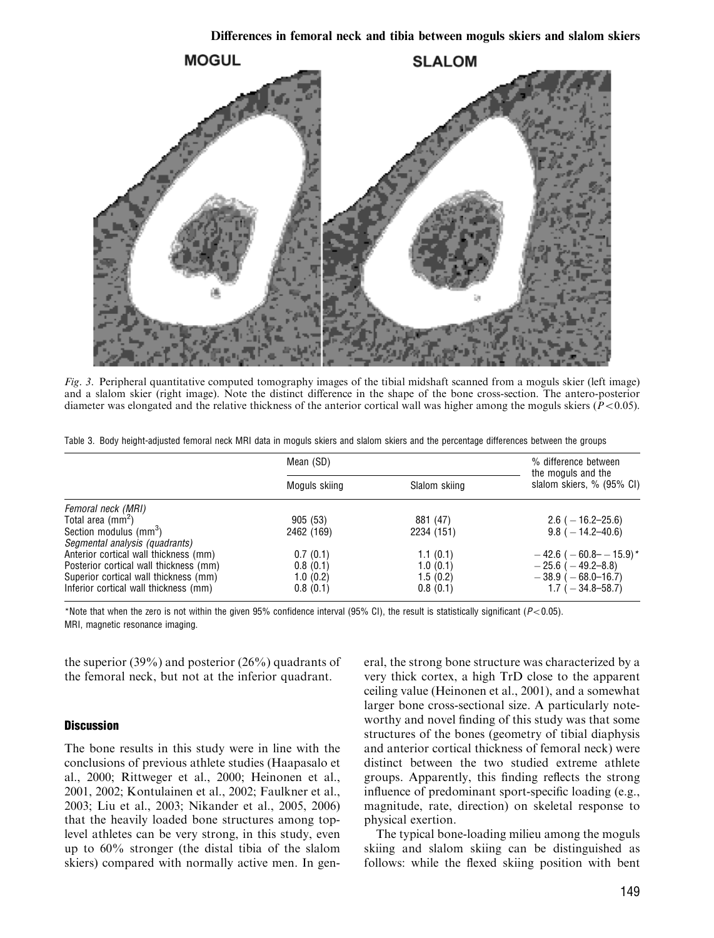

Fig. 3. Peripheral quantitative computed tomography images of the tibial midshaft scanned from a moguls skier (left image) and a slalom skier (right image). Note the distinct difference in the shape of the bone cross-section. The antero-posterior diameter was elongated and the relative thickness of the anterior cortical wall was higher among the moguls skiers ( $P<0.05$ ).

| Table 3. Body height-adjusted femoral neck MRI data in moguls skiers and slalom skiers and the percentage differences between the groups |  |  |  |
|------------------------------------------------------------------------------------------------------------------------------------------|--|--|--|
|------------------------------------------------------------------------------------------------------------------------------------------|--|--|--|

|                                        | Mean (SD)     |               | % difference between<br>the moguls and the |  |
|----------------------------------------|---------------|---------------|--------------------------------------------|--|
|                                        | Moguls skiing | Slalom skiing | slalom skiers, % (95% CI)                  |  |
| Femoral neck (MRI)                     |               |               |                                            |  |
| Total area $(mm^2)$                    | 905 (53)      | 881 (47)      | $2.6$ ( $-16.2-25.6$ )                     |  |
| Section modulus (mm <sup>3</sup> )     | 2462 (169)    | 2234 (151)    | $9.8$ ( $-14.2-40.6$ )                     |  |
| Segmental analysis (quadrants)         |               |               |                                            |  |
| Anterior cortical wall thickness (mm)  | 0.7(0.1)      | 1.1(0.1)      | $-42.6$ ( $-60.8 - -15.9$ )*               |  |
| Posterior cortical wall thickness (mm) | 0.8(0.1)      | 1.0(0.1)      | $-25.6$ ( $-49.2-8.8$ )                    |  |
| Superior cortical wall thickness (mm)  | 1.0(0.2)      | 1.5(0.2)      | $-38.9(-68.0-16.7)$                        |  |
| Inferior cortical wall thickness (mm)  | 0.8(0.1)      | 0.8(0.1)      | $1.7 (-34.8 - 58.7)$                       |  |

\*Note that when the zero is not within the given 95% confidence interval (95% CI), the result is statistically significant ( $P$ <0.05). MRI, magnetic resonance imaging.

the superior (39%) and posterior (26%) quadrants of the femoral neck, but not at the inferior quadrant.

## **Discussion**

The bone results in this study were in line with the conclusions of previous athlete studies (Haapasalo et al., 2000; Rittweger et al., 2000; Heinonen et al., 2001, 2002; Kontulainen et al., 2002; Faulkner et al., 2003; Liu et al., 2003; Nikander et al., 2005, 2006) that the heavily loaded bone structures among toplevel athletes can be very strong, in this study, even up to 60% stronger (the distal tibia of the slalom skiers) compared with normally active men. In general, the strong bone structure was characterized by a very thick cortex, a high TrD close to the apparent ceiling value (Heinonen et al., 2001), and a somewhat larger bone cross-sectional size. A particularly noteworthy and novel finding of this study was that some structures of the bones (geometry of tibial diaphysis and anterior cortical thickness of femoral neck) were distinct between the two studied extreme athlete groups. Apparently, this finding reflects the strong influence of predominant sport-specific loading (e.g., magnitude, rate, direction) on skeletal response to physical exertion.

The typical bone-loading milieu among the moguls skiing and slalom skiing can be distinguished as follows: while the flexed skiing position with bent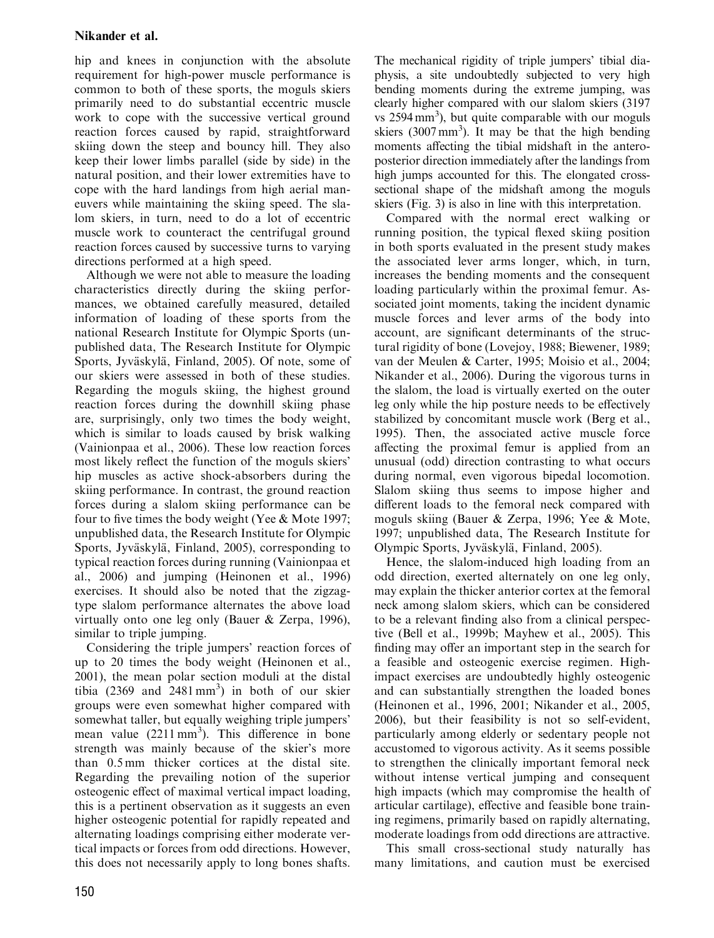# Nikander et al.

hip and knees in conjunction with the absolute requirement for high-power muscle performance is common to both of these sports, the moguls skiers primarily need to do substantial eccentric muscle work to cope with the successive vertical ground reaction forces caused by rapid, straightforward skiing down the steep and bouncy hill. They also keep their lower limbs parallel (side by side) in the natural position, and their lower extremities have to cope with the hard landings from high aerial maneuvers while maintaining the skiing speed. The slalom skiers, in turn, need to do a lot of eccentric muscle work to counteract the centrifugal ground reaction forces caused by successive turns to varying directions performed at a high speed.

Although we were not able to measure the loading characteristics directly during the skiing performances, we obtained carefully measured, detailed information of loading of these sports from the national Research Institute for Olympic Sports (unpublished data, The Research Institute for Olympic Sports, Jyväskylä, Finland, 2005). Of note, some of our skiers were assessed in both of these studies. Regarding the moguls skiing, the highest ground reaction forces during the downhill skiing phase are, surprisingly, only two times the body weight, which is similar to loads caused by brisk walking (Vainionpaa et al., 2006). These low reaction forces most likely reflect the function of the moguls skiers' hip muscles as active shock-absorbers during the skiing performance. In contrast, the ground reaction forces during a slalom skiing performance can be four to five times the body weight (Yee & Mote 1997; unpublished data, the Research Institute for Olympic Sports, Jyväskylä, Finland, 2005), corresponding to typical reaction forces during running (Vainionpaa et al., 2006) and jumping (Heinonen et al., 1996) exercises. It should also be noted that the zigzagtype slalom performance alternates the above load virtually onto one leg only (Bauer & Zerpa, 1996), similar to triple jumping.

Considering the triple jumpers' reaction forces of up to 20 times the body weight (Heinonen et al., 2001), the mean polar section moduli at the distal tibia  $(2369 \text{ and } 2481 \text{ mm}^3)$  in both of our skier groups were even somewhat higher compared with somewhat taller, but equally weighing triple jumpers' mean value (2211 mm<sup>3</sup>). This difference in bone strength was mainly because of the skier's more than 0.5 mm thicker cortices at the distal site. Regarding the prevailing notion of the superior osteogenic effect of maximal vertical impact loading, this is a pertinent observation as it suggests an even higher osteogenic potential for rapidly repeated and alternating loadings comprising either moderate vertical impacts or forces from odd directions. However, this does not necessarily apply to long bones shafts.

The mechanical rigidity of triple jumpers' tibial diaphysis, a site undoubtedly subjected to very high bending moments during the extreme jumping, was clearly higher compared with our slalom skiers (3197 vs 2594 mm<sup>3</sup>), but quite comparable with our moguls skiers  $(3007 \text{ mm}^3)$ . It may be that the high bending moments affecting the tibial midshaft in the anteroposterior direction immediately after the landings from high jumps accounted for this. The elongated crosssectional shape of the midshaft among the moguls skiers (Fig. 3) is also in line with this interpretation.

Compared with the normal erect walking or running position, the typical flexed skiing position in both sports evaluated in the present study makes the associated lever arms longer, which, in turn, increases the bending moments and the consequent loading particularly within the proximal femur. Associated joint moments, taking the incident dynamic muscle forces and lever arms of the body into account, are significant determinants of the structural rigidity of bone (Lovejoy, 1988; Biewener, 1989; van der Meulen & Carter, 1995; Moisio et al., 2004; Nikander et al., 2006). During the vigorous turns in the slalom, the load is virtually exerted on the outer leg only while the hip posture needs to be effectively stabilized by concomitant muscle work (Berg et al., 1995). Then, the associated active muscle force affecting the proximal femur is applied from an unusual (odd) direction contrasting to what occurs during normal, even vigorous bipedal locomotion. Slalom skiing thus seems to impose higher and different loads to the femoral neck compared with moguls skiing (Bauer & Zerpa, 1996; Yee & Mote, 1997; unpublished data, The Research Institute for Olympic Sports, Jyväskylä, Finland, 2005).

Hence, the slalom-induced high loading from an odd direction, exerted alternately on one leg only, may explain the thicker anterior cortex at the femoral neck among slalom skiers, which can be considered to be a relevant finding also from a clinical perspective (Bell et al., 1999b; Mayhew et al., 2005). This finding may offer an important step in the search for a feasible and osteogenic exercise regimen. Highimpact exercises are undoubtedly highly osteogenic and can substantially strengthen the loaded bones (Heinonen et al., 1996, 2001; Nikander et al., 2005, 2006), but their feasibility is not so self-evident, particularly among elderly or sedentary people not accustomed to vigorous activity. As it seems possible to strengthen the clinically important femoral neck without intense vertical jumping and consequent high impacts (which may compromise the health of articular cartilage), effective and feasible bone training regimens, primarily based on rapidly alternating, moderate loadings from odd directions are attractive.

This small cross-sectional study naturally has many limitations, and caution must be exercised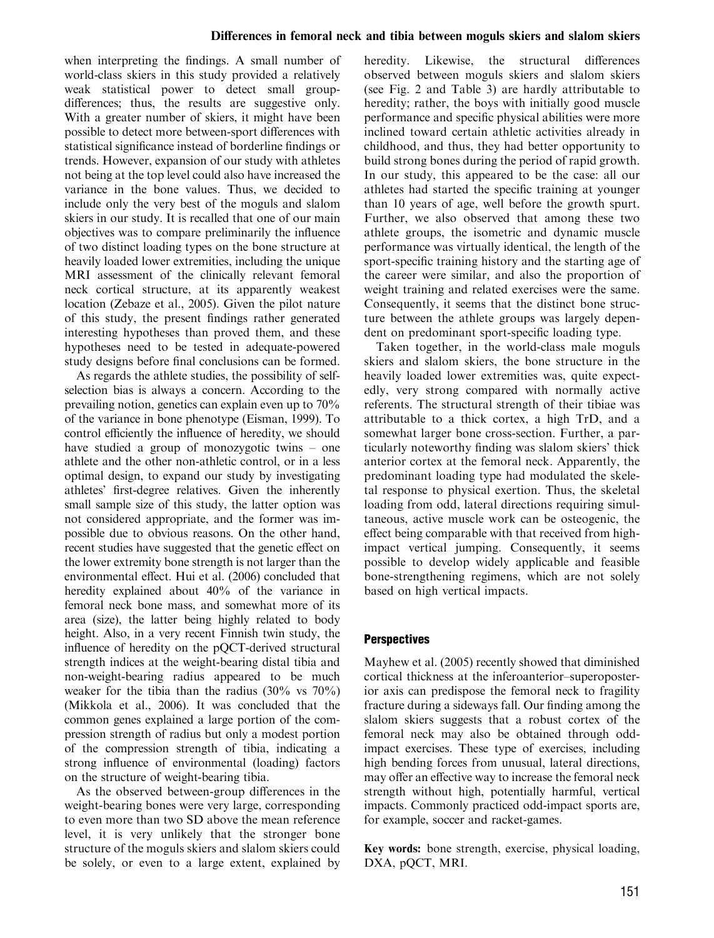when interpreting the findings. A small number of world-class skiers in this study provided a relatively weak statistical power to detect small groupdifferences; thus, the results are suggestive only. With a greater number of skiers, it might have been possible to detect more between-sport differences with statistical significance instead of borderline findings or trends. However, expansion of our study with athletes not being at the top level could also have increased the variance in the bone values. Thus, we decided to include only the very best of the moguls and slalom skiers in our study. It is recalled that one of our main objectives was to compare preliminarily the influence of two distinct loading types on the bone structure at heavily loaded lower extremities, including the unique MRI assessment of the clinically relevant femoral neck cortical structure, at its apparently weakest location (Zebaze et al., 2005). Given the pilot nature of this study, the present findings rather generated interesting hypotheses than proved them, and these hypotheses need to be tested in adequate-powered study designs before final conclusions can be formed.

As regards the athlete studies, the possibility of selfselection bias is always a concern. According to the prevailing notion, genetics can explain even up to 70% of the variance in bone phenotype (Eisman, 1999). To control efficiently the influence of heredity, we should have studied a group of monozygotic twins – one athlete and the other non-athletic control, or in a less optimal design, to expand our study by investigating athletes' first-degree relatives. Given the inherently small sample size of this study, the latter option was not considered appropriate, and the former was impossible due to obvious reasons. On the other hand, recent studies have suggested that the genetic effect on the lower extremity bone strength is not larger than the environmental effect. Hui et al. (2006) concluded that heredity explained about 40% of the variance in femoral neck bone mass, and somewhat more of its area (size), the latter being highly related to body height. Also, in a very recent Finnish twin study, the influence of heredity on the pQCT-derived structural strength indices at the weight-bearing distal tibia and non-weight-bearing radius appeared to be much weaker for the tibia than the radius (30% vs 70%) (Mikkola et al., 2006). It was concluded that the common genes explained a large portion of the compression strength of radius but only a modest portion of the compression strength of tibia, indicating a strong influence of environmental (loading) factors on the structure of weight-bearing tibia.

As the observed between-group differences in the weight-bearing bones were very large, corresponding to even more than two SD above the mean reference level, it is very unlikely that the stronger bone structure of the moguls skiers and slalom skiers could be solely, or even to a large extent, explained by heredity. Likewise, the structural differences observed between moguls skiers and slalom skiers (see Fig. 2 and Table 3) are hardly attributable to heredity; rather, the boys with initially good muscle performance and specific physical abilities were more inclined toward certain athletic activities already in childhood, and thus, they had better opportunity to build strong bones during the period of rapid growth. In our study, this appeared to be the case: all our athletes had started the specific training at younger than 10 years of age, well before the growth spurt. Further, we also observed that among these two athlete groups, the isometric and dynamic muscle performance was virtually identical, the length of the sport-specific training history and the starting age of the career were similar, and also the proportion of weight training and related exercises were the same. Consequently, it seems that the distinct bone structure between the athlete groups was largely dependent on predominant sport-specific loading type.

Taken together, in the world-class male moguls skiers and slalom skiers, the bone structure in the heavily loaded lower extremities was, quite expectedly, very strong compared with normally active referents. The structural strength of their tibiae was attributable to a thick cortex, a high TrD, and a somewhat larger bone cross-section. Further, a particularly noteworthy finding was slalom skiers' thick anterior cortex at the femoral neck. Apparently, the predominant loading type had modulated the skeletal response to physical exertion. Thus, the skeletal loading from odd, lateral directions requiring simultaneous, active muscle work can be osteogenic, the effect being comparable with that received from highimpact vertical jumping. Consequently, it seems possible to develop widely applicable and feasible bone-strengthening regimens, which are not solely based on high vertical impacts.

# **Perspectives**

Mayhew et al. (2005) recently showed that diminished cortical thickness at the inferoanterior–superoposterior axis can predispose the femoral neck to fragility fracture during a sideways fall. Our finding among the slalom skiers suggests that a robust cortex of the femoral neck may also be obtained through oddimpact exercises. These type of exercises, including high bending forces from unusual, lateral directions, may offer an effective way to increase the femoral neck strength without high, potentially harmful, vertical impacts. Commonly practiced odd-impact sports are, for example, soccer and racket-games.

Key words: bone strength, exercise, physical loading, DXA, pQCT, MRI.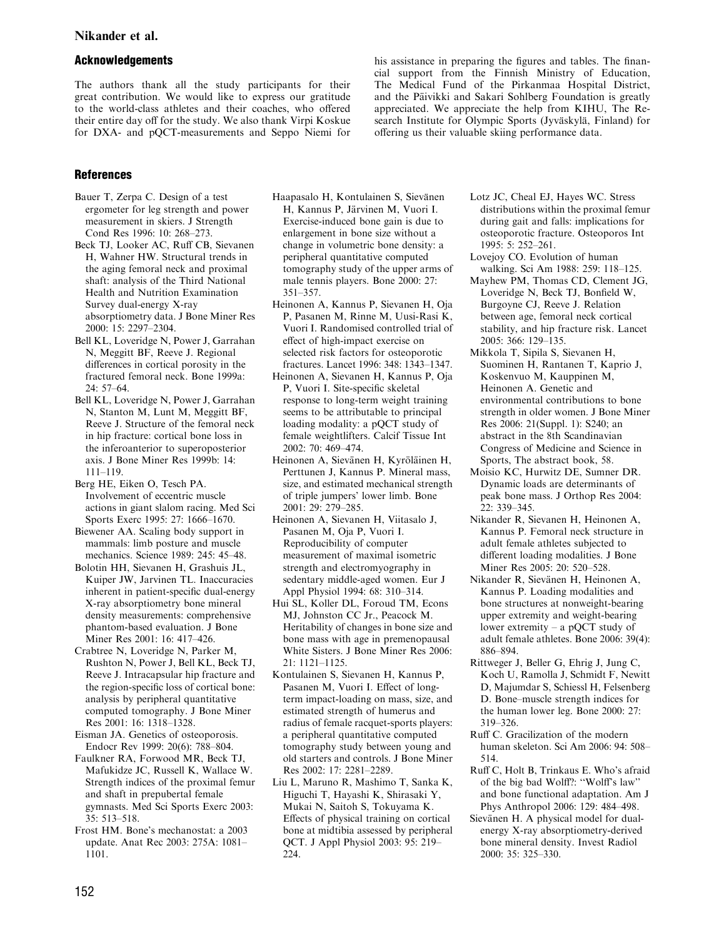## Acknowledgements

The authors thank all the study participants for their great contribution. We would like to express our gratitude to the world-class athletes and their coaches, who offered their entire day off for the study. We also thank Virpi Koskue for DXA- and pQCT-measurements and Seppo Niemi for his assistance in preparing the figures and tables. The financial support from the Finnish Ministry of Education, The Medical Fund of the Pirkanmaa Hospital District, and the Päivikki and Sakari Sohlberg Foundation is greatly appreciated. We appreciate the help from KIHU, The Research Institute for Olympic Sports (Jyväskylä, Finland) for offering us their valuable skiing performance data.

# **References**

- Bauer T, Zerpa C. Design of a test ergometer for leg strength and power measurement in skiers. J Strength Cond Res 1996: 10: 268–273.
- Beck TJ, Looker AC, Ruff CB, Sievanen H, Wahner HW. Structural trends in the aging femoral neck and proximal shaft: analysis of the Third National Health and Nutrition Examination Survey dual-energy X-ray absorptiometry data. J Bone Miner Res 2000: 15: 2297–2304.
- Bell KL, Loveridge N, Power J, Garrahan N, Meggitt BF, Reeve J. Regional differences in cortical porosity in the fractured femoral neck. Bone 1999a: 24: 57–64.
- Bell KL, Loveridge N, Power J, Garrahan N, Stanton M, Lunt M, Meggitt BF, Reeve J. Structure of the femoral neck in hip fracture: cortical bone loss in the inferoanterior to superoposterior axis. J Bone Miner Res 1999b: 14: 111–119.
- Berg HE, Eiken O, Tesch PA. Involvement of eccentric muscle actions in giant slalom racing. Med Sci Sports Exerc 1995: 27: 1666–1670.
- Biewener AA. Scaling body support in mammals: limb posture and muscle mechanics. Science 1989: 245: 45–48.
- Bolotin HH, Sievanen H, Grashuis JL, Kuiper JW, Jarvinen TL. Inaccuracies inherent in patient-specific dual-energy X-ray absorptiometry bone mineral density measurements: comprehensive phantom-based evaluation. J Bone Miner Res 2001: 16: 417–426.
- Crabtree N, Loveridge N, Parker M, Rushton N, Power J, Bell KL, Beck TJ, Reeve J. Intracapsular hip fracture and the region-specific loss of cortical bone: analysis by peripheral quantitative computed tomography. J Bone Miner Res 2001: 16: 1318–1328.
- Eisman JA. Genetics of osteoporosis. Endocr Rev 1999: 20(6): 788–804.
- Faulkner RA, Forwood MR, Beck TJ, Mafukidze JC, Russell K, Wallace W. Strength indices of the proximal femur and shaft in prepubertal female gymnasts. Med Sci Sports Exerc 2003: 35: 513–518.
- Frost HM. Bone's mechanostat: a 2003 update. Anat Rec 2003: 275A: 1081– 1101.
- Haapasalo H, Kontulainen S, Sievänen H, Kannus P, Järvinen M, Vuori I. Exercise-induced bone gain is due to enlargement in bone size without a change in volumetric bone density: a peripheral quantitative computed tomography study of the upper arms of male tennis players. Bone 2000: 27: 351–357.
- Heinonen A, Kannus P, Sievanen H, Oja P, Pasanen M, Rinne M, Uusi-Rasi K, Vuori I. Randomised controlled trial of effect of high-impact exercise on selected risk factors for osteoporotic fractures. Lancet 1996: 348: 1343–1347.
- Heinonen A, Sievanen H, Kannus P, Oja P, Vuori I. Site-specific skeletal response to long-term weight training seems to be attributable to principal loading modality: a pQCT study of female weightlifters. Calcif Tissue Int 2002: 70: 469–474.
- Heinonen A, Sievänen H, Kyröläinen H, Perttunen J, Kannus P. Mineral mass, size, and estimated mechanical strength of triple jumpers' lower limb. Bone 2001: 29: 279–285.
- Heinonen A, Sievanen H, Viitasalo J, Pasanen M, Oja P, Vuori I. Reproducibility of computer measurement of maximal isometric strength and electromyography in sedentary middle-aged women. Eur J Appl Physiol 1994: 68: 310–314.
- Hui SL, Koller DL, Foroud TM, Econs MJ, Johnston CC Jr., Peacock M. Heritability of changes in bone size and bone mass with age in premenopausal White Sisters. J Bone Miner Res 2006: 21: 1121–1125.
- Kontulainen S, Sievanen H, Kannus P, Pasanen M, Vuori I. Effect of longterm impact-loading on mass, size, and estimated strength of humerus and radius of female racquet-sports players: a peripheral quantitative computed tomography study between young and old starters and controls. J Bone Miner Res 2002: 17: 2281–2289.
- Liu L, Maruno R, Mashimo T, Sanka K, Higuchi T, Hayashi K, Shirasaki Y, Mukai N, Saitoh S, Tokuyama K. Effects of physical training on cortical bone at midtibia assessed by peripheral QCT. J Appl Physiol 2003: 95: 219– 224.
- Lotz JC, Cheal EJ, Hayes WC. Stress distributions within the proximal femur during gait and falls: implications for osteoporotic fracture. Osteoporos Int 1995: 5: 252–261.
- Lovejoy CO. Evolution of human walking. Sci Am 1988: 259: 118–125.
- Mayhew PM, Thomas CD, Clement JG, Loveridge N, Beck TJ, Bonfield W, Burgoyne CJ, Reeve J. Relation between age, femoral neck cortical stability, and hip fracture risk. Lancet 2005: 366: 129–135.
- Mikkola T, Sipila S, Sievanen H, Suominen H, Rantanen T, Kaprio J, Koskenvuo M, Kauppinen M, Heinonen A. Genetic and environmental contributions to bone strength in older women. J Bone Miner Res 2006: 21(Suppl. 1): S240; an abstract in the 8th Scandinavian Congress of Medicine and Science in Sports, The abstract book, 58.
- Moisio KC, Hurwitz DE, Sumner DR. Dynamic loads are determinants of peak bone mass. J Orthop Res 2004: 22: 339–345.
- Nikander R, Sievanen H, Heinonen A, Kannus P. Femoral neck structure in adult female athletes subjected to different loading modalities. J Bone Miner Res 2005: 20: 520–528.
- Nikander R, Sievänen H, Heinonen A, Kannus P. Loading modalities and bone structures at nonweight-bearing upper extremity and weight-bearing lower extremity – a pQCT study of adult female athletes. Bone 2006: 39(4): 886–894.
- Rittweger J, Beller G, Ehrig J, Jung C, Koch U, Ramolla J, Schmidt F, Newitt D, Majumdar S, Schiessl H, Felsenberg D. Bone–muscle strength indices for the human lower leg. Bone 2000: 27: 319–326.
- Ruff C. Gracilization of the modern human skeleton. Sci Am 2006: 94: 508– 514.
- Ruff C, Holt B, Trinkaus E. Who's afraid of the big bad Wolff?: ''Wolff's law'' and bone functional adaptation. Am J Phys Anthropol 2006: 129: 484–498.
- Sievänen H. A physical model for dualenergy X-ray absorptiometry-derived bone mineral density. Invest Radiol 2000: 35: 325–330.